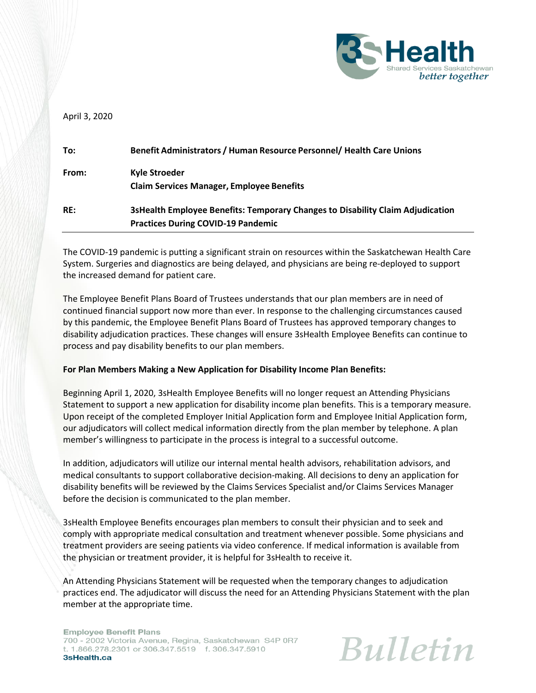

April 3, 2020

| To:   | Benefit Administrators / Human Resource Personnel/ Health Care Unions                                                       |
|-------|-----------------------------------------------------------------------------------------------------------------------------|
| From: | Kyle Stroeder<br><b>Claim Services Manager, Employee Benefits</b>                                                           |
| RE:   | 3sHealth Employee Benefits: Temporary Changes to Disability Claim Adjudication<br><b>Practices During COVID-19 Pandemic</b> |

The COVID-19 pandemic is putting a significant strain on resources within the Saskatchewan Health Care System. Surgeries and diagnostics are being delayed, and physicians are being re-deployed to support the increased demand for patient care.

The Employee Benefit Plans Board of Trustees understands that our plan members are in need of continued financial support now more than ever. In response to the challenging circumstances caused by this pandemic, the Employee Benefit Plans Board of Trustees has approved temporary changes to disability adjudication practices. These changes will ensure 3sHealth Employee Benefits can continue to process and pay disability benefits to our plan members.

## **For Plan Members Making a New Application for Disability Income Plan Benefits:**

Beginning April 1, 2020, 3sHealth Employee Benefits will no longer request an Attending Physicians Statement to support a new application for disability income plan benefits. This is a temporary measure. Upon receipt of the completed Employer Initial Application form and Employee Initial Application form, our adjudicators will collect medical information directly from the plan member by telephone. A plan member's willingness to participate in the process is integral to a successful outcome.

In addition, adjudicators will utilize our internal mental health advisors, rehabilitation advisors, and medical consultants to support collaborative decision-making. All decisions to deny an application for disability benefits will be reviewed by the Claims Services Specialist and/or Claims Services Manager before the decision is communicated to the plan member.

3sHealth Employee Benefits encourages plan members to consult their physician and to seek and comply with appropriate medical consultation and treatment whenever possible. Some physicians and treatment providers are seeing patients via video conference. If medical information is available from the physician or treatment provider, it is helpful for 3sHealth to receive it.

An Attending Physicians Statement will be requested when the temporary changes to adjudication practices end. The adjudicator will discuss the need for an Attending Physicians Statement with the plan member at the appropriate time.

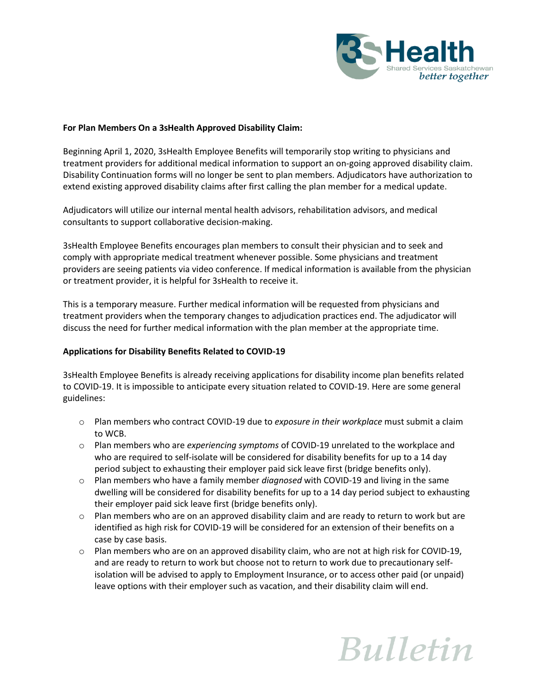

## **For Plan Members On a 3sHealth Approved Disability Claim:**

Beginning April 1, 2020, 3sHealth Employee Benefits will temporarily stop writing to physicians and treatment providers for additional medical information to support an on-going approved disability claim. Disability Continuation forms will no longer be sent to plan members. Adjudicators have authorization to extend existing approved disability claims after first calling the plan member for a medical update.

Adjudicators will utilize our internal mental health advisors, rehabilitation advisors, and medical consultants to support collaborative decision-making.

3sHealth Employee Benefits encourages plan members to consult their physician and to seek and comply with appropriate medical treatment whenever possible. Some physicians and treatment providers are seeing patients via video conference. If medical information is available from the physician or treatment provider, it is helpful for 3sHealth to receive it.

This is a temporary measure. Further medical information will be requested from physicians and treatment providers when the temporary changes to adjudication practices end. The adjudicator will discuss the need for further medical information with the plan member at the appropriate time.

## **Applications for Disability Benefits Related to COVID-19**

3sHealth Employee Benefits is already receiving applications for disability income plan benefits related to COVID-19. It is impossible to anticipate every situation related to COVID-19. Here are some general guidelines:

- o Plan members who contract COVID-19 due to *exposure in their workplace* must submit a claim to WCB.
- o Plan members who are *experiencing symptoms* of COVID-19 unrelated to the workplace and who are required to self-isolate will be considered for disability benefits for up to a 14 day period subject to exhausting their employer paid sick leave first (bridge benefits only).
- o Plan members who have a family member *diagnosed* with COVID-19 and living in the same dwelling will be considered for disability benefits for up to a 14 day period subject to exhausting their employer paid sick leave first (bridge benefits only).
- $\circ$  Plan members who are on an approved disability claim and are ready to return to work but are identified as high risk for COVID-19 will be considered for an extension of their benefits on a case by case basis.
- $\circ$  Plan members who are on an approved disability claim, who are not at high risk for COVID-19, and are ready to return to work but choose not to return to work due to precautionary selfisolation will be advised to apply to Employment Insurance, or to access other paid (or unpaid) leave options with their employer such as vacation, and their disability claim will end.